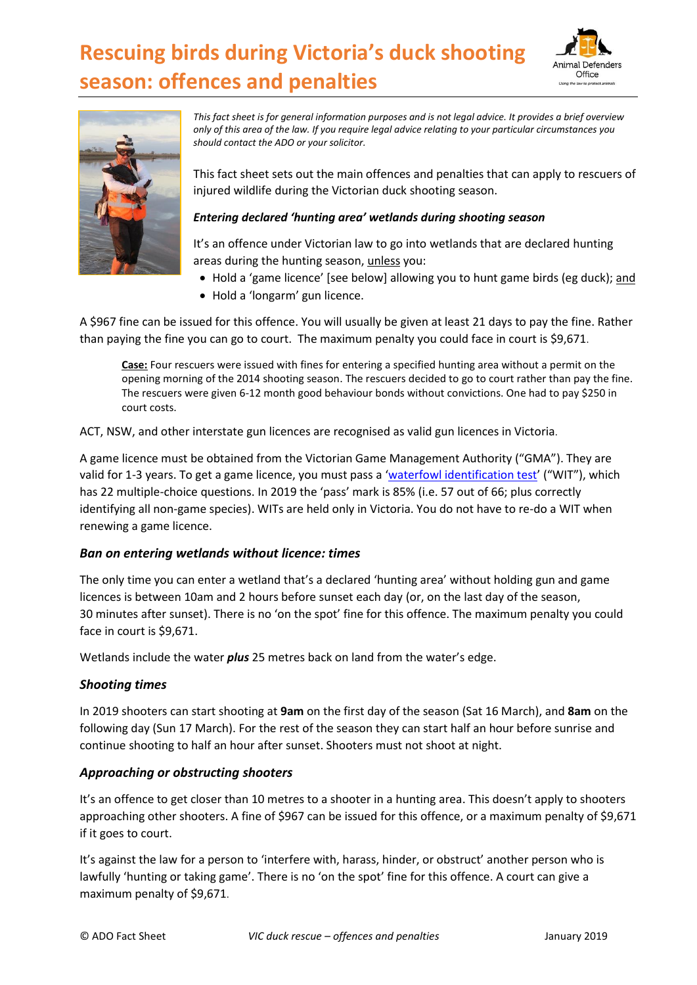# **Rescuing birds during Victoria's duck shooting season: offences and penalties**





*This fact sheet is for general information purposes and is not legal advice. It provides a brief overview only of this area of the law. If you require legal advice relating to your particular circumstances you should contact the ADO or your solicitor.*

This fact sheet sets out the main offences and penalties that can apply to rescuers of injured wildlife during the Victorian duck shooting season.

### *Entering declared 'hunting area' wetlands during shooting season*

It's an offence under Victorian law to go into wetlands that are declared hunting areas during the hunting season, unless you:

- Hold a 'game licence' [see below] allowing you to hunt game birds (eg duck); and
- Hold a 'longarm' gun licence.

A \$967 fine can be issued for this offence. You will usually be given at least 21 days to pay the fine. Rather than paying the fine you can go to court. The maximum penalty you could face in court is \$9,671.

**Case:** Four rescuers were issued with fines for entering a specified hunting area without a permit on the opening morning of the 2014 shooting season. The rescuers decided to go to court rather than pay the fine. The rescuers were given 6-12 month good behaviour bonds without convictions. One had to pay \$250 in court costs.

ACT, NSW, and other interstate gun licences are recognised as valid gun licences in Victoria.

A game licence must be obtained from the Victorian Game Management Authority ("GMA"). They are valid for 1-3 years. To get a game licence, you must pass a '[waterfowl identification test](http://www.gma.vic.gov.au/licensing/apply-for-a-game-licence/waterfowl-identification-test)' ("WIT"), which has 22 multiple-choice questions. In 2019 the 'pass' mark is 85% (i.e. 57 out of 66; plus correctly identifying all non-game species). WITs are held only in Victoria. You do not have to re-do a WIT when renewing a game licence.

### *Ban on entering wetlands without licence: times*

The only time you can enter a wetland that's a declared 'hunting area' without holding gun and game licences is between 10am and 2 hours before sunset each day (or, on the last day of the season, 30 minutes after sunset). There is no 'on the spot' fine for this offence. The maximum penalty you could face in court is \$9,671.

Wetlands include the water *plus* 25 metres back on land from the water's edge.

### *Shooting times*

In 2019 shooters can start shooting at **9am** on the first day of the season (Sat 16 March), and **8am** on the following day (Sun 17 March). For the rest of the season they can start half an hour before sunrise and continue shooting to half an hour after sunset. Shooters must not shoot at night.

## *Approaching or obstructing shooters*

It's an offence to get closer than 10 metres to a shooter in a hunting area. This doesn't apply to shooters approaching other shooters. A fine of \$967 can be issued for this offence, or a maximum penalty of \$9,671 if it goes to court.

It's against the law for a person to 'interfere with, harass, hinder, or obstruct' another person who is lawfully 'hunting or taking game'. There is no 'on the spot' fine for this offence. A court can give a maximum penalty of \$9,671.